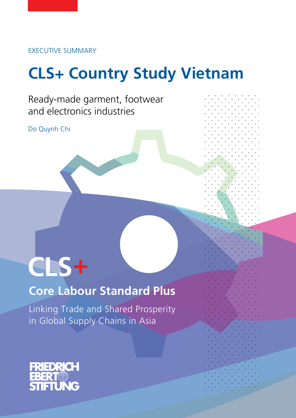Executive Summary

# **CLS+ Country Study Vietnam**

REGIONAL

Ready-made garment, footwear and electronics industries

Do Quynh Chi

# $CLS+$

# **Core Labour Standard Plus**

Linking Trade and Shared Prosperity in Global Supply Chains in Asia

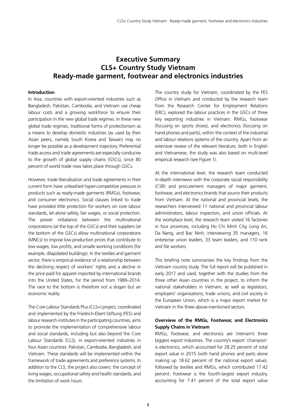## **Executive Summary CLS+ Country Study Vietnam Ready-made garment, footwear and electronics industries**

#### **Introduction**

In Asia, countries with export-oriented industries such as Bangladesh, Pakistan, Cambodia, and Vietnam use cheap labour costs and a growing workforce to ensure their participation in the new global trade regimes. In these new global trade regimes, traditional forms of protectionism as a means to develop domestic industries (as used by their Asian peers, namely South Korea and Taiwan) may no longer be possible as a development trajectory. Preferential trade access and trade agreements are especially conducive to the growth of global supply chains (GSCs), since 80 percent of world trade now takes place through GSCs.

However, trade liberalisation and trade agreements in their current form have unleashed hyper-competitive pressure in products such as ready-made garments (RMGs), footwear, and consumer electronics. Social clauses linked to trade have provided little protection for workers on core labour standards, let alone safety, fair wages, or social protection. The power imbalance between the multinational corporations (at the top of the GSCs) and their suppliers (at the bottom of the GSCs) allow multinational corporations (MNCs) to impose low production prices that contribute to low wages, low profits, and unsafe working conditions (for example, dilapidated buildings). In the textiles and garment sector, there is empirical evidence of a relationship between the declining respect of workers' rights and a decline in the price paid for apparel imported by international brands into the United States, for the period from 1989–2014. The race to the bottom is therefore not a slogan but an economic reality.

The Core Labour Standards Plus (CLS+) project, coordinated and implemented by the Friedrich-Ebert-Stiftung (FES) and labour research institutes in the participating countries, aims to promote the implementation of comprehensive labour and social standards, including but also beyond the Core Labour Standards (CLS), in export-oriented industries in four Asian countries: Pakistan, Cambodia, Bangladesh, and Vietnam. These standards will be implemented within the framework of trade agreements and preference systems. In addition to the CLS, the project also covers: the concept of living wages, occupational safety and health standards, and the limitation of work hours.

The country study for Vietnam, coordinated by the FES Office in Vietnam and conducted by the research team from the Research Center for Employment Relations (ERC), explored the labour practices in the GSCs of three key exporting industries in Vietnam: RMGs, footwear (focusing on sports shoes), and electronics (focusing on hand phones and parts), within the context of the industrial and labour relations systems of the country. Apart from an extensive review of the relevant literature, both in English and Vietnamese, the study was also based on multi-level empirical research (see Figure 1).

At the international level, the research team conducted in-depth interviews with the corporate social responsibility (CSR) and procurement managers of major garment, footwear, and electronics brands that source their products from Vietnam. At the national and provincial levels, the researchers interviewed 11 national and provincial labour administrators, labour inspectors, and union officials. At the workplace level, the research team visited 16 factories in four provinces, including Ho Chi Minh City, Long An, Da Nang, and Bac Ninh, interviewing 35 managers, 16 enterprise union leaders, 33 team leaders, and 110 rank and file workers.

This briefing note summarises the key findings from the Vietnam country study. The full report will be published in early 2017 and used, together with the studies from the three other Asian countries in the project, to inform the national stakeholders in Vietnam, as well as legislators, employers' organisations, trade unions, and civil society in the European Union, which is a major export market for Vietnam in the three above-mentioned sectors.

#### **Overview of the Rmgs, Footwear, and Electronics Supply Chains in Vietnam**

RMGs, footwear, and electronics are Vietnam's three biggest export industries. The country's export 'champion' is electronics, which accounted for 28.25 percent of total export value in 2015 (with hand phones and parts alone making up 18.62 percent of the national export value), followed by textiles and RMGs, which contributed 17.42 percent. Footwear is the fourth-largest export industry, accounting for 7.41 percent of the total export value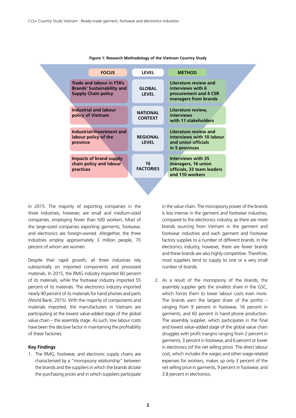| <b>FOCUS</b>                                                                                        | <b>LEVEL</b>                      | <b>METHOD</b>                                                                                    |
|-----------------------------------------------------------------------------------------------------|-----------------------------------|--------------------------------------------------------------------------------------------------|
| <b>Trade and labour in FTA's</b><br><b>Brands' Sustainability and</b><br><b>Supply Chain policy</b> | <b>GLOBAL</b><br><b>LEVEL</b>     | Literature review and<br>interviews with 6<br>procurement and 4 CSR<br>managers from brands      |
| Industrial and labour<br>policy of Vietnam                                                          | <b>NATIONAL</b><br><b>CONTEXT</b> | Literature review,<br><i>interviews</i><br>with 11 stakeholders                                  |
| Industrial/Investment and<br>labour policy of the<br>province                                       | <b>REGIONAL</b><br><b>LEVEL</b>   | Literature review and<br>interviews with 10 labour<br>and union officials<br>in 5 provinces      |
| Impacts of brand supply<br>chain policy and labour<br>practices                                     | 16<br><b>FACTORIES</b>            | <b>Interviews with 35</b><br>managers, 16 union<br>officials, 33 team leaders<br>and 110 workers |

#### **Figure 1: Research Methodology of the Vietnam Country Study**

in 2015. The majority of exporting companies in the three industries, however, are small and medium-sized companies, employing fewer than 500 workers. Most of the large-sized companies exporting garments, footwear, and electronics are foreign-owned. Altogether, the three industries employ approximately 3 million people, 70 percent of whom are women.

Despite their rapid growth, all three industries rely substantially on imported components and processed materials. In 2015, the RMG industry imported 60 percent of its materials, while the footwear industry imported 55 percent of its materials. The electronics industry imported nearly 90 percent of its materials for hand phones and parts (World Bank, 2015). With the majority of components and materials imported, the manufacturers in Vietnam are participating at the lowest value-added stage of the global value chain – the assembly stage. As such, low labour costs have been the decisive factor in maintaining the profitability of these factories.

#### **Key Findings**

1. The RMG, footwear, and electronic supply chains are characterised by a "monopsony relationship" between the brands and the suppliers in which the brands dictate the purchasing prices and in which suppliers participate in the value chain. The monopsony power of the brands is less intense in the garment and footwear industries, compared to the electronics industry, as there are more brands sourcing from Vietnam in the garment and footwear industries and each garment and footwear factory supplies to a number of different brands. In the electronics industry, however, there are fewer brands and these brands are also highly competitive. Therefore, most suppliers tend to supply to one or a very small number of brands.

2. As a result of the monopsony of the brands, the assembly supplier gets the smallest share in the GSC, which forces them to lower labour costs even more. The brands earn the largest share of the profits – ranging from 9 percent in footwear, 16 percent in garments, and 60 percent in hand phone production. The assembly supplier, which participates in the final and lowest value-added stage of the global value chain struggles with profit margins ranging from 2 percent in garments, 3 percent in footwear, and 6 percent or lower in electronics (of the net selling price). The direct labour cost, which includes the wages and other wage-related expenses for workers, makes up only 3 percent of the net selling price in garments, 9 percent in footwear, and 3.8 percent in electronics.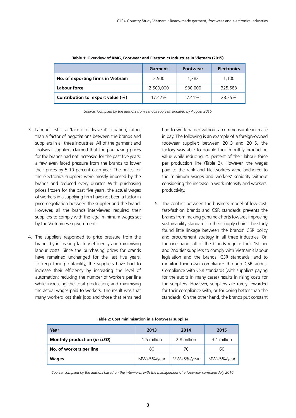|                                   | Garment   | <b>Footwear</b> | <b>Electronics</b> |
|-----------------------------------|-----------|-----------------|--------------------|
| No. of exporting firms in Vietnam | 2.500     | 1.382           | 1.100              |
| Labour force                      | 2,500,000 | 930,000         | 325,583            |
| Contribution to export value (%)  | 17.42%    | 7.41%           | 28.25%             |

#### **Table 1: Overview of RMG, Footwear and Electronics Industries in Vietnam (2015)**

*Source: Compiled by the authors from various sources, updated by August 2016*

- 3. Labour cost is a 'take it or leave it' situation, rather than a factor of negotiations between the brands and suppliers in all three industries. All of the garment and footwear suppliers claimed that the purchasing prices for the brands had not increased for the past five years; a few even faced pressure from the brands to lower their prices by 5-10 percent each year. The prices for the electronics suppliers were mostly imposed by the brands and reduced every quarter. With purchasing prices frozen for the past five years, the actual wages of workers in a supplying firm have not been a factor in price negotiation between the supplier and the brand. However, all the brands interviewed required their suppliers to comply with the legal minimum wages set by the Vietnamese government.
- 4. The suppliers responded to price pressure from the brands by increasing factory efficiency and minimising labour costs. Since the purchasing prices for brands have remained unchanged for the last five years, to keep their profitability, the suppliers have had to increase their efficiency by increasing the level of automation; reducing the number of workers per line while increasing the total production; and minimising the actual wages paid to workers. The result was that many workers lost their jobs and those that remained

had to work harder without a commensurate increase in pay. The following is an example of a foreign-owned footwear supplier: between 2013 and 2015, the factory was able to double their monthly production value while reducing 25 percent of their labour force per production line (Table 2). However, the wages paid to the rank and file workers were anchored to the minimum wages and workers' seniority without considering the increase in work intensity and workers' productivity.

5. The conflict between the business model of low-cost, fast-fashion brands and CSR standards prevents the brands from making genuine efforts towards improving sustainability standards in their supply chain. The study found little linkage between the brands' CSR policy and procurement strategy in all three industries. On the one hand, all of the brands require their 1st tier and 2nd tier suppliers to comply with Vietnam's labour legislation and the brands' CSR standards, and to monitor their own compliance through CSR audits. Compliance with CSR standards (with suppliers paying for the audits in many cases) results in rising costs for the suppliers. However, suppliers are rarely rewarded for their compliance with, or for doing better than the standards. On the other hand, the brands put constant

#### **Table 2: Cost minimisation in a footwear supplier**

| Year                        | 2013        | 2014        | 2015        |
|-----------------------------|-------------|-------------|-------------|
| Monthly production (in USD) | 1.6 million | 2.8 million | 3.1 million |
| No. of workers per line     | 80          | 70          | 60          |
| <b>Wages</b>                | MW+5%/year  | MW+5%/year  | MW+5%/year  |

*Source: compiled by the authors based on the interviews with the management of a footwear company, July 2016*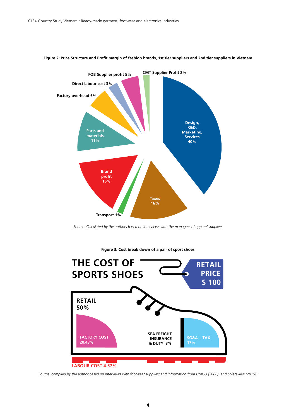

#### **Figure 2: Price Structure and Profit margin of fashion brands, 1st tier suppliers and 2nd tier suppliers in Vietnam**

*Source: Calculated by the authors based on interviews with the managers of apparel suppliers*



**Figure 3: Cost break down of a pair of sport shoes**

*Source: compiled by the author based on interviews with footwear suppliers and information from UNIDO (2000)1 and Solereview (2015)2*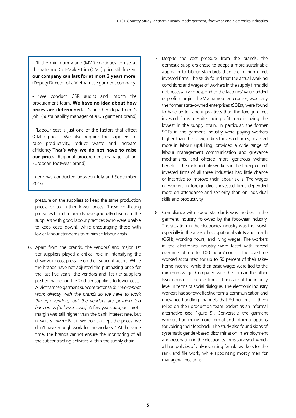- 'If the minimum wage (MW) continues to rise at this rate and Cut-Make-Trim (CMT) price still frozen, **our company can last for at most 3 years more**' (Deputy Director of a Vietnamese garment company)

- 'We conduct CSR audits and inform the procurement team. **We have no idea about how prices are determined.** It's another department's job' (Sustainability manager of a US garment brand)

- 'Labour cost is just one of the factors that affect (CMT) prices. We also require the suppliers to raise productivity, reduce waste and increase efficiency'**That's why we do not have to raise our price.** (Regional procurement manager of an European footwear brand)

Interviews conducted between July and September 2016

pressure on the suppliers to keep the same production prices, or to further lower prices. These conflicting pressures from the brands have gradually driven out the suppliers with good labour practices (who were unable to keep costs down), while encouraging those with lower labour standards to minimise labour costs.

6. Apart from the brands, the vendors<sup>3</sup> and major 1st tier suppliers played a critical role in intensifying the downward cost pressure on their subcontractors. While the brands have not adjusted the purchasing price for the last five years, the vendors and 1st tier suppliers pushed harder on the 2nd tier suppliers to lower costs. A Vietnamese garment subcontractor said: "*We cannot work directly with the brands so we have to work through vendors, but the vendors are pushing too hard on us [to lower costs]*. A few years ago, our profit margin was still higher than the bank interest rate, but now it is lower.<sup>4</sup> But if we don't accept the prices, we don't have enough work for the workers." At the same time, the brands cannot ensure the monitoring of all the subcontracting activities within the supply chain.

- 7. Despite the cost pressure from the brands, the domestic suppliers chose to adopt a more sustainable approach to labour standards than the foreign direct invested firms. The study found that the actual working conditions and wages of workers in the supply firms did not necessarily correspond to the factories' value-added or profit margin. The Vietnamese enterprises, especially the former state-owned enterprises (SOEs), were found to have better labour practices than the foreign direct invested firms, despite their profit margin being the lowest in the supply chain. In particular, the former SOEs in the garment industry were paying workers higher than the foreign direct invested firms, invested more in labour upskilling, provided a wide range of labour management communication and grievance mechanisms, and offered more generous welfare benefits. The rank and file workers in the foreign direct invested firms of all three industries had little chance or incentive to improve their labour skills. The wages of workers in foreign direct invested firms depended more on attendance and seniority than on individual skills and productivity.
- 8. Compliance with labour standards was the best in the garment industry, followed by the footwear industry. The situation in the electronics industry was the worst, especially in the areas of occupational safety and health (OSH), working hours, and living wages. The workers in the electronics industry were faced with forced overtime of up to 100 hours/month. The overtime worked accounted for up to 50 percent of their takehome income, while their basic wages were tied to the minimum wage. Compared with the firms in the other two industries, the electronics firms are at the infancy level in terms of social dialogue. The electronic industry workers had so few effective formal communication and grievance handling channels that 80 percent of them relied on their production team leaders as an informal alternative (see Figure 5). Conversely, the garment workers had many more formal and informal options for voicing their feedback. The study also found signs of systematic gender-based discrimination in employment and occupation in the electronics firms surveyed, which all had policies of only recruiting female workers for the rank and file work, while appointing mostly men for managerial positions.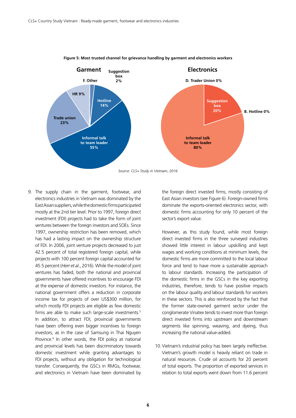

#### **Figure 5: Most trusted channel for grievance handling by garment and electronics workers**

9. The supply chain in the garment, footwear, and electronics industries in Vietnam was dominated by the East Asian suppliers, while the domestic firms participated mostly at the 2nd tier level. Prior to 1997, foreign direct investment (FDI) projects had to take the form of joint ventures between the foreign investors and SOEs. Since 1997, ownership restriction has been removed, which has had a lasting impact on the ownership structure of FDI. In 2006, joint venture projects decreased to just 42.5 percent of total registered foreign capital, while projects with 100 percent foreign capital accounted for 45.5 percent (*Herr et al*., 2016). While the model of joint ventures has faded, both the national and provincial governments have offered incentives to encourage FDI at the expense of domestic investors. For instance, the national government offers a reduction in corporate income tax for projects of over US\$300 million, for which mostly FDI projects are eligible as few domestic firms are able to make such large-scale investments.<sup>5</sup> In addition, to attract FDI, provincial governments have been offering even bigger incentives to foreign investors, as in the case of Samsung in Thai Nguyen Province.<sup>6</sup> In other words, the FDI policy at national and provincial levels has been discriminatory towards domestic investment while granting advantages to FDI projects, without any obligation for technological transfer. Consequently, the GSCs in RMGs, footwear, and electronics in Vietnam have been dominated by the foreign direct invested firms, mostly consisting of East Asian investors (see Figure 6). Foreign-owned firms dominate the exports-oriented electronics sector, with domestic firms accounting for only 10 percent of the sector's export value.

However, as this study found, while most foreign direct invested firms in the three surveyed industries showed little interest in labour upskilling and kept wages and working conditions at minimum levels, the domestic firms are more committed to the local labour force and tend to have more a sustainable approach to labour standards. Increasing the participation of the domestic firms in the GSCs in the key exporting industries, therefore, tends to have positive impacts on the labour quality and labour standards for workers in these sectors. This is also reinforced by the fact that the former state-owned garment sector under the conglomerate Vinatex tends to invest more than foreign direct invested firms into upstream and downstream segments like spinning, weaving, and dyeing, thus increasing the national value-added.

10. Vietnam's industrial policy has been largely ineffective. Vietnam's growth model is heavily reliant on trade in natural resources. Crude oil accounts for 20 percent of total exports. The proportion of exported services in relation to total exports went down from 11.6 percent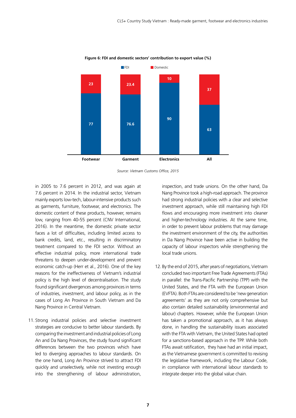

**Figure 6: FDI and domestic sectors' contribution to export value (%)**

in 2005 to 7.6 percent in 2012, and was again at 7.6 percent in 2014. In the industrial sector, Vietnam mainly exports low-tech, labour-intensive products such as garments, furniture, footwear, and electronics. The domestic content of these products, however, remains low, ranging from 40-55 percent (CNV International, 2016). In the meantime, the domestic private sector faces a lot of difficulties, including limited access to bank credits, land, etc., resulting in discriminatory treatment compared to the FDI sector. Without an effective industrial policy, more international trade threatens to deepen under-development and prevent economic catch-up (Herr et al., 2016). One of the key reasons for the ineffectiveness of Vietnam's industrial policy is the high level of decentralisation. The study found significant divergences among provinces in terms of industries, investment, and labour policy, as in the cases of Long An Province in South Vietnam and Da Nang Province in Central Vietnam.

11. Strong industrial policies and selective investment strategies are conducive to better labour standards. By comparing the investment and industrial policies of Long An and Da Nang Provinces, the study found significant differences between the two provinces which have led to diverging approaches to labour standards. On the one hand, Long An Province strived to attract FDI quickly and unselectively, while not investing enough into the strengthening of labour administration,

inspection, and trade unions. On the other hand, Da Nang Province took a high-road approach. The province had strong industrial policies with a clear and selective investment approach, while still maintaining high FDI flows and encouraging more investment into cleaner and higher-technology industries. At the same time, in order to prevent labour problems that may damage the investment environment of the city, the authorities in Da Nang Province have been active in building the capacity of labour inspectors while strengthening the local trade unions.

12. By the end of 2015, after years of negotiations, Vietnam concluded two important Free Trade Agreements (FTAs) in parallel: the Trans-Pacific Partnership (TPP) with the United States, and the FTA with the European Union (EVFTA). Both FTAs are considered to be 'new generation agreements' as they are not only comprehensive but also contain detailed sustainability (environmental and labour) chapters. However, while the European Union has taken a promotional approach, as it has always done, in handling the sustainability issues associated with the FTA with Vietnam, the United States had opted for a sanctions-based approach in the TPP. While both FTAs await ratification, they have had an initial impact, as the Vietnamese government is committed to revising the legislative framework, including the Labour Code, in compliance with international labour standards to integrate deeper into the global value chain.

*Source: Vietnam Customs Office, 2015*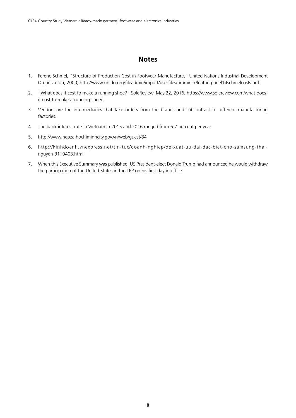### **Notes**

- 1. Ferenc Schmél, "Structure of Production Cost in Footwear Manufacture," United Nations Industrial Development Organization, 2000, http://www.unido.org/fileadmin/import/userfiles/timminsk/leatherpanel14schmelcosts.pdf.
- 2. "What does it cost to make a running shoe?" SoleReview, May 22, 2016, https://www.solereview.com/what-doesit-cost-to-make-a-running-shoe/.
- 3. Vendors are the intermediaries that take orders from the brands and subcontract to different manufacturing factories.
- 4. The bank interest rate in Vietnam in 2015 and 2016 ranged from 6-7 percent per year.
- 5. http://www.hepza.hochiminhcity.gov.vn/web/guest/84
- 6. http://kinhdoanh.vnexpress.net/tin-tuc/doanh-nghiep/de-xuat-uu-dai-dac-biet-cho-samsung-thainguyen-3110403.html
- 7. When this Executive Summary was published, US President-elect Donald Trump had announced he would withdraw the participation of the United States in the TPP on his first day in office.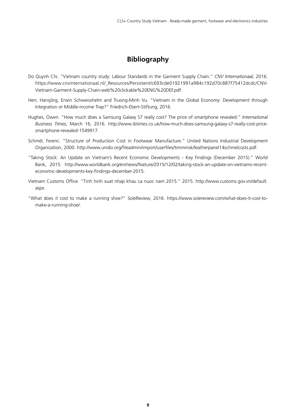## **Bibliography**

- Do Quynh Chi. "Vietnam country study: Labour Standards in the Garment Supply Chain." *CNV Internationaal,* 2016. https://www.cnvinternationaal.nl/\_Resources/Persistent/c693cde01921991a984c192d70c887f75412dcdc/CNV-Vietnam-Garment-Supply-Chain-web%20clickable%20ENG%20DEF.pdf.
- Herr, Hansjörg, Erwin Schweisshelm and Truong-Minh Vu. "Vietnam in the Global Economy: Development through Integration or Middle-income Trap?" Friedrich-Ebert-Stiftung, 2016.
- Hughes, Owen. "How much does a Samsung Galaxy S7 really cost? The price of smartphone revealed." *International Business Times*, March 16, 2016. http://www.ibtimes.co.uk/how-much-does-samsung-galaxy-s7-really-cost-pricesmartphone-revealed-1549917.
- Schmél, Ferenc. "Structure of Production Cost in Footwear Manufacture." United Nations Industrial Development Organization, 2000. http://www.unido.org/fileadmin/import/userfiles/timminsk/leatherpanel14schmelcosts.pdf.
- "Taking Stock: An Update on Vietnam's Recent Economic Developments Key Findings (December 2015)." World Bank, 2015. http://www.worldbank.org/en/news/feature/2015/12/02/taking-stock-an-update-on-vietnams-recenteconomic-developments-key-findings-december-2015.
- Vietnam Customs Office. "Tinh hinh xuat nhap khau ca nuoc nam 2015." 2015. http://www.customs.gov.vn/default. aspx.
- "What does it cost to make a running shoe?" SoleReview, 2016. https://www.solereview.com/what-does-it-cost-tomake-a-running-shoe/.